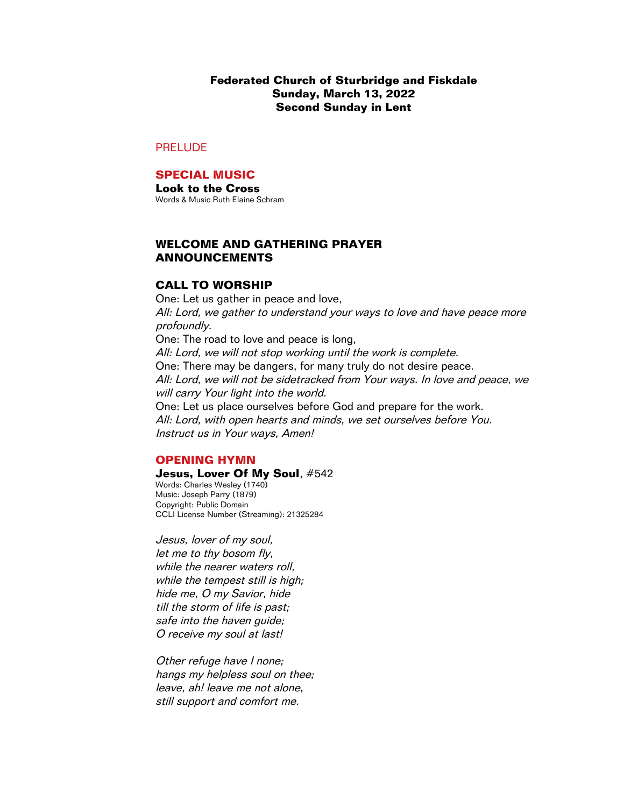**Federated Church of Sturbridge and Fiskdale Sunday, March 13, 2022 Second Sunday in Lent**

# PRELUDE

# **SPECIAL MUSIC**

**Look to the Cross** Words & Music Ruth Elaine Schram

## **WELCOME AND GATHERING PRAYER ANNOUNCEMENTS**

### **CALL TO WORSHIP**

One: Let us gather in peace and love, All: Lord, we gather to understand your ways to love and have peace more profoundly. One: The road to love and peace is long, All: Lord, we will not stop working until the work is complete. One: There may be dangers, for many truly do not desire peace. All: Lord, we will not be sidetracked from Your ways. In love and peace, we will carry Your light into the world. One: Let us place ourselves before God and prepare for the work. All: Lord, with open hearts and minds, we set ourselves before You. Instruct us in Your ways, Amen!

### **OPENING HYMN**

# **Jesus, Lover Of My Soul**, #542

Words: Charles Wesley (1740) Music: Joseph Parry (1879) Copyright: Public Domain CCLI License Number (Streaming): 21325284

Jesus, lover of my soul, let me to thy bosom fly, while the nearer waters roll, while the tempest still is high; hide me, O my Savior, hide till the storm of life is past; safe into the haven guide; O receive my soul at last!

Other refuge have I none; hangs my helpless soul on thee; leave, ah! leave me not alone, still support and comfort me.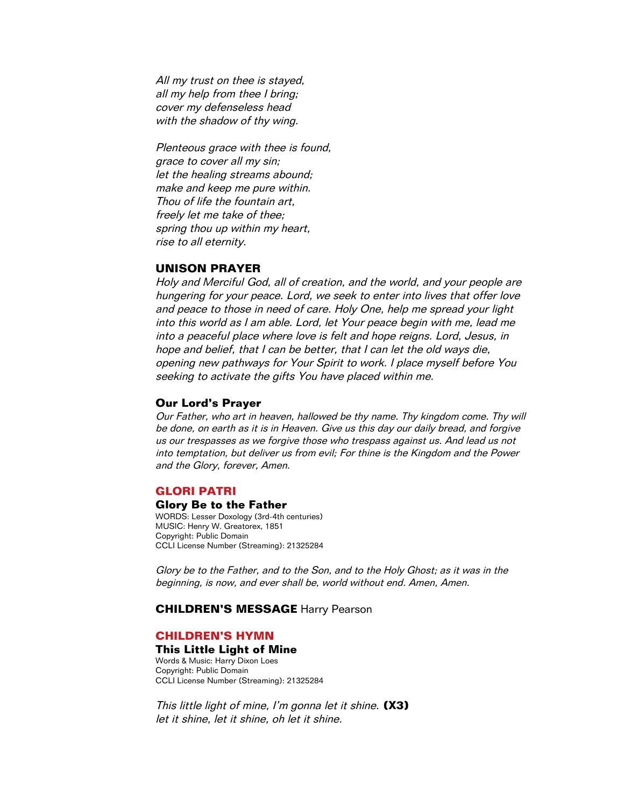All my trust on thee is stayed, all my help from thee I bring; cover my defenseless head with the shadow of thy wing.

Plenteous grace with thee is found, grace to cover all my sin; let the healing streams abound; make and keep me pure within. Thou of life the fountain art, freely let me take of thee; spring thou up within my heart, rise to all eternity.

# **UNISON PRAYER**

Holy and Merciful God, all of creation, and the world, and your people are hungering for your peace. Lord, we seek to enter into lives that offer love and peace to those in need of care. Holy One, help me spread your light into this world as I am able. Lord, let Your peace begin with me, lead me into a peaceful place where love is felt and hope reigns. Lord, Jesus, in hope and belief, that I can be better, that I can let the old ways die, opening new pathways for Your Spirit to work. I place myself before You seeking to activate the gifts You have placed within me.

#### **Our Lord's Prayer**

Our Father, who art in heaven, hallowed be thy name. Thy kingdom come. Thy will be done, on earth as it is in Heaven. Give us this day our daily bread, and forgive us our trespasses as we forgive those who trespass against us. And lead us not into temptation, but deliver us from evil; For thine is the Kingdom and the Power and the Glory, forever, Amen.

#### **GLORI PATRI**

#### **Glory Be to the Father**

WORDS: Lesser Doxology (3rd-4th centuries) MUSIC: Henry W. Greatorex, 1851 Copyright: Public Domain CCLI License Number (Streaming): 21325284

Glory be to the Father, and to the Son, and to the Holy Ghost; as it was in the beginning, is now, and ever shall be, world without end. Amen, Amen.

### **CHILDREN'S MESSAGE** Harry Pearson

### **CHILDREN'S HYMN**

#### **This Little Light of Mine**

Words & Music: Harry Dixon Loes Copyright: Public Domain CCLI License Number (Streaming): 21325284

This little light of mine, I'm gonna let it shine. **(X3)** let it shine, let it shine, oh let it shine.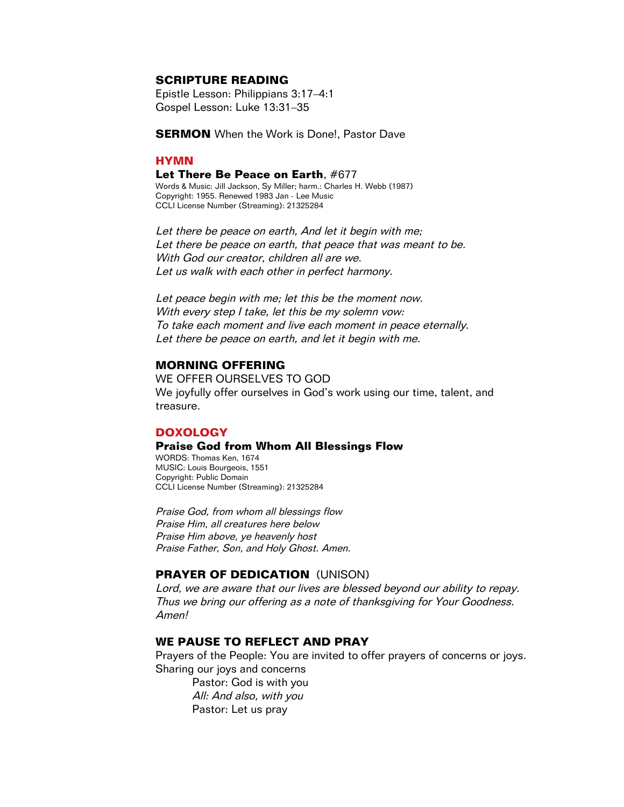## **SCRIPTURE READING**

Epistle Lesson: Philippians 3:17–4:1 Gospel Lesson: Luke 13:31–35

**SERMON** When the Work is Done!, Pastor Dave

### **HYMN**

#### **Let There Be Peace on Earth**, #677

Words & Music: Jill Jackson, Sy Miller; harm.: Charles H. Webb (1987) Copyright: 1955. Renewed 1983 Jan - Lee Music CCLI License Number (Streaming): 21325284

Let there be peace on earth, And let it begin with me; Let there be peace on earth, that peace that was meant to be. With God our creator, children all are we. Let us walk with each other in perfect harmony.

Let peace begin with me; let this be the moment now. With every step I take, let this be my solemn vow: To take each moment and live each moment in peace eternally. Let there be peace on earth, and let it begin with me.

### **MORNING OFFERING**

WE OFFER OURSELVES TO GOD We joyfully offer ourselves in God's work using our time, talent, and treasure.

### **DOXOLOGY**

#### **Praise God from Whom All Blessings Flow**

WORDS: Thomas Ken, 1674 MUSIC: Louis Bourgeois, 1551 Copyright: Public Domain CCLI License Number (Streaming): 21325284

Praise God, from whom all blessings flow Praise Him, all creatures here below Praise Him above, ye heavenly host Praise Father, Son, and Holy Ghost. Amen.

# **PRAYER OF DEDICATION** (UNISON)

Lord, we are aware that our lives are blessed beyond our ability to repay. Thus we bring our offering as a note of thanksgiving for Your Goodness. Amen!

## **WE PAUSE TO REFLECT AND PRAY**

Prayers of the People: You are invited to offer prayers of concerns or joys. Sharing our joys and concerns

Pastor: God is with you All: And also, with you Pastor: Let us pray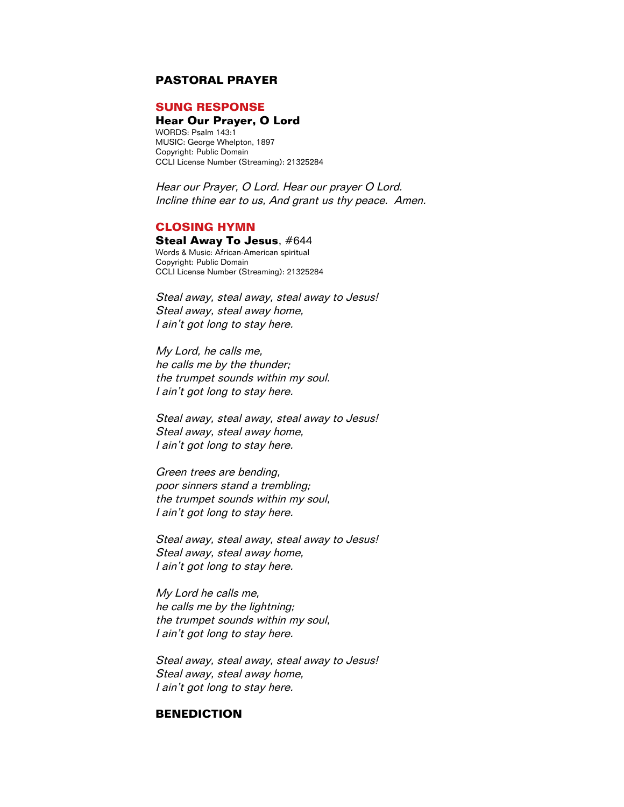# **PASTORAL PRAYER**

### **SUNG RESPONSE**

### **Hear Our Prayer, O Lord**

WORDS: Psalm 143:1 MUSIC: George Whelpton, 1897 Copyright: Public Domain CCLI License Number (Streaming): 21325284

Hear our Prayer, O Lord. Hear our prayer O Lord. Incline thine ear to us, And grant us thy peace. Amen.

### **CLOSING HYMN**

### **Steal Away To Jesus**, #644

Words & Music: African-American spiritual Copyright: Public Domain CCLI License Number (Streaming): 21325284

Steal away, steal away, steal away to Jesus! Steal away, steal away home, I ain't got long to stay here.

My Lord, he calls me, he calls me by the thunder; the trumpet sounds within my soul. I ain't got long to stay here.

Steal away, steal away, steal away to Jesus! Steal away, steal away home, I ain't got long to stay here.

Green trees are bending, poor sinners stand a trembling; the trumpet sounds within my soul, I ain't got long to stay here.

Steal away, steal away, steal away to Jesus! Steal away, steal away home, I ain't got long to stay here.

My Lord he calls me, he calls me by the lightning; the trumpet sounds within my soul, I ain't got long to stay here.

Steal away, steal away, steal away to Jesus! Steal away, steal away home, I ain't got long to stay here.

### **BENEDICTION**